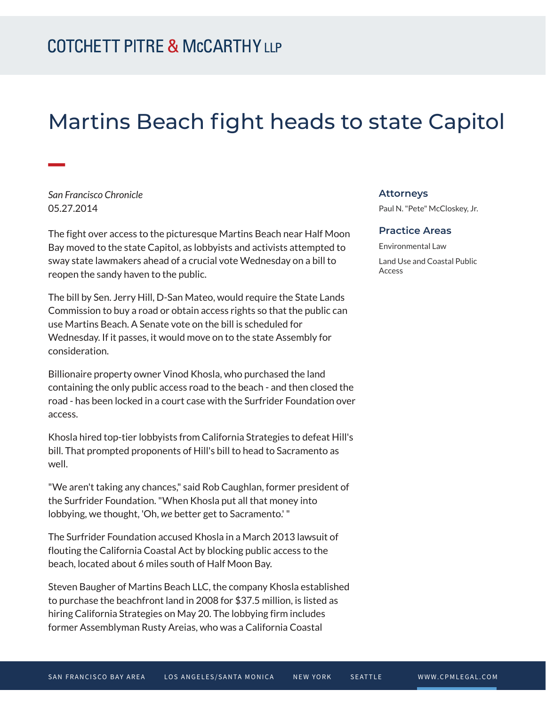# Martins Beach fight heads to state Capitol

*San Francisco Chronicle* 05.27.2014

**William** 

The fight over access to the picturesque Martins Beach near Half Moon Bay moved to the state Capitol, as lobbyists and activists attempted to sway state lawmakers ahead of a crucial vote Wednesday on a bill to reopen the sandy haven to the public.

The bill by Sen. Jerry Hill, D-San Mateo, would require the State Lands Commission to buy a road or obtain access rights so that the public can use Martins Beach. A Senate vote on the bill is scheduled for Wednesday. If it passes, it would move on to the state Assembly for consideration.

Billionaire property owner Vinod Khosla, who purchased the land containing the only public access road to the beach - and then closed the road - has been locked in a court case with the Surfrider Foundation over access.

Khosla hired top-tier lobbyists from California Strategies to defeat Hill's bill. That prompted proponents of Hill's bill to head to Sacramento as well.

"We aren't taking any chances," said Rob Caughlan, former president of the Surfrider Foundation. "When Khosla put all that money into lobbying, we thought, 'Oh, *we* better get to Sacramento.' "

The Surfrider Foundation accused Khosla in a March 2013 lawsuit of flouting the California Coastal Act by blocking public access to the beach, located about 6 miles south of Half Moon Bay.

Steven Baugher of Martins Beach LLC, the company Khosla established to purchase the beachfront land in 2008 for \$37.5 million, is listed as hiring California Strategies on May 20. The lobbying firm includes former Assemblyman Rusty Areias, who was a California Coastal

#### **Attorneys**

Paul N. "Pete" McCloskey, Jr.

#### **Practice Areas**

Environmental Law Land Use and Coastal Public Access